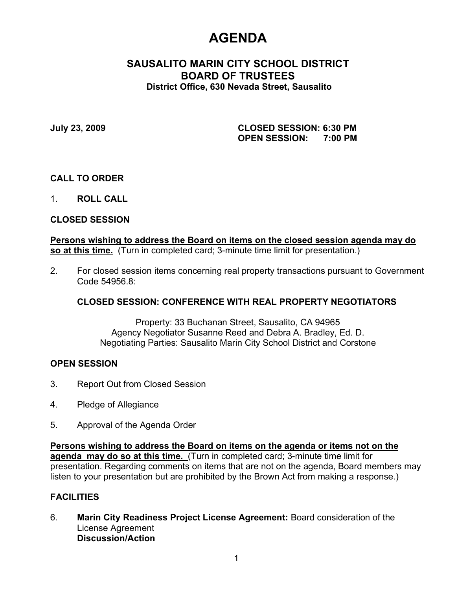# **AGENDA**

# **SAUSALITO MARIN CITY SCHOOL DISTRICT BOARD OF TRUSTEES District Office, 630 Nevada Street, Sausalito**

**July 23, 2009 CLOSED SESSION: 6:30 PM OPEN SESSION: 7:00 PM**

## **CALL TO ORDER**

1. **ROLL CALL**

## **CLOSED SESSION**

## **Persons wishing to address the Board on items on the closed session agenda may do so at this time.** (Turn in completed card; 3-minute time limit for presentation.)

2. For closed session items concerning real property transactions pursuant to Government Code 54956.8:

## **CLOSED SESSION: CONFERENCE WITH REAL PROPERTY NEGOTIATORS**

Property: 33 Buchanan Street, Sausalito, CA 94965 Agency Negotiator Susanne Reed and Debra A. Bradley, Ed. D. Negotiating Parties: Sausalito Marin City School District and Corstone

## **OPEN SESSION**

- 3. Report Out from Closed Session
- 4. Pledge of Allegiance
- 5. Approval of the Agenda Order

**Persons wishing to address the Board on items on the agenda or items not on the agenda may do so at this time.** (Turn in completed card; 3-minute time limit for presentation. Regarding comments on items that are not on the agenda, Board members may listen to your presentation but are prohibited by the Brown Act from making a response.)

## **FACILITIES**

6. **Marin City Readiness Project License Agreement:** Board consideration of the License Agreement **Discussion/Action**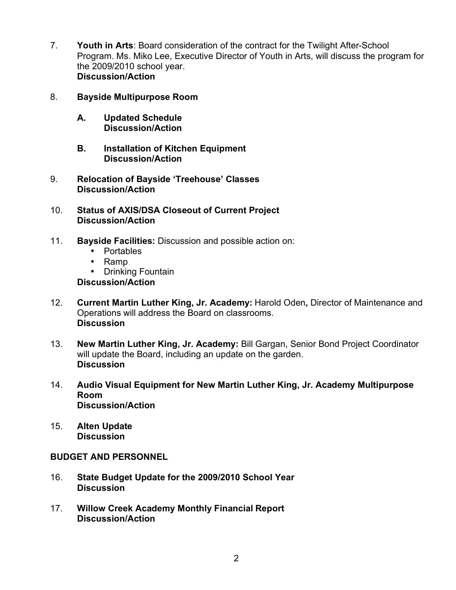- 7. **Youth in Arts**: Board consideration of the contract for the Twilight After-School Program. Ms. Miko Lee, Executive Director of Youth in Arts, will discuss the program for the 2009/2010 school year. **Discussion/Action**
- 8. **Bayside Multipurpose Room**
	- **A. Updated Schedule Discussion/Action**
	- **B. Installation of Kitchen Equipment Discussion/Action**
- 9. **Relocation of Bayside 'Treehouse' Classes Discussion/Action**
- 10. **Status of AXIS/DSA Closeout of Current Project Discussion/Action**
- 11. **Bayside Facilities:** Discussion and possible action on:
	- Portables
	- Ramp<br>• Drinkir
	- **Drinking Fountain**

## **Discussion/Action**

- 12. **Current Martin Luther King, Jr. Academy:** Harold Oden**,** Director of Maintenance and Operations will address the Board on classrooms. **Discussion**
- 13. **New Martin Luther King, Jr. Academy:** Bill Gargan, Senior Bond Project Coordinator will update the Board, including an update on the garden. **Discussion**
- 14. **Audio Visual Equipment for New Martin Luther King, Jr. Academy Multipurpose Room Discussion/Action**
- 15. **Alten Update Discussion**

## **BUDGET AND PERSONNEL**

- 16. **State Budget Update for the 2009/2010 School Year Discussion**
- 17. **Willow Creek Academy Monthly Financial Report Discussion/Action**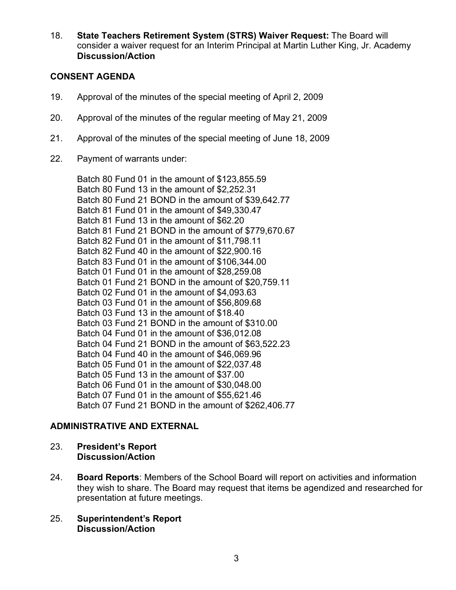18. **State Teachers Retirement System (STRS) Waiver Request:** The Board will consider a waiver request for an Interim Principal at Martin Luther King, Jr. Academy **Discussion/Action**

## **CONSENT AGENDA**

- 19. Approval of the minutes of the special meeting of April 2, 2009
- 20. Approval of the minutes of the regular meeting of May 21, 2009
- 21. Approval of the minutes of the special meeting of June 18, 2009
- 22. Payment of warrants under:

Batch 80 Fund 01 in the amount of \$123,855.59 Batch 80 Fund 13 in the amount of \$2,252.31 Batch 80 Fund 21 BOND in the amount of \$39,642.77 Batch 81 Fund 01 in the amount of \$49,330.47 Batch 81 Fund 13 in the amount of \$62.20 Batch 81 Fund 21 BOND in the amount of \$779,670.67 Batch 82 Fund 01 in the amount of \$11,798.11 Batch 82 Fund 40 in the amount of \$22,900.16 Batch 83 Fund 01 in the amount of \$106,344.00 Batch 01 Fund 01 in the amount of \$28,259.08 Batch 01 Fund 21 BOND in the amount of \$20,759.11 Batch 02 Fund 01 in the amount of \$4,093.63 Batch 03 Fund 01 in the amount of \$56,809.68 Batch 03 Fund 13 in the amount of \$18.40 Batch 03 Fund 21 BOND in the amount of \$310.00 Batch 04 Fund 01 in the amount of \$36,012.08 Batch 04 Fund 21 BOND in the amount of \$63,522.23 Batch 04 Fund 40 in the amount of \$46,069.96 Batch 05 Fund 01 in the amount of \$22,037.48 Batch 05 Fund 13 in the amount of \$37.00 Batch 06 Fund 01 in the amount of \$30,048.00 Batch 07 Fund 01 in the amount of \$55,621.46 Batch 07 Fund 21 BOND in the amount of \$262,406.77

## **ADMINISTRATIVE AND EXTERNAL**

- 23. **President's Report Discussion/Action**
- 24. **Board Reports**: Members of the School Board will report on activities and information they wish to share. The Board may request that items be agendized and researched for presentation at future meetings.
- 25. **Superintendent's Report Discussion/Action**